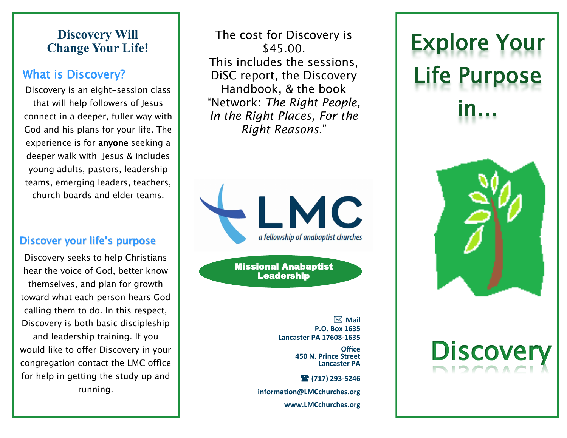# **Discovery Will Change Your Life!**

# What is Discovery?

Discovery is an eight-session class that will help followers of Jesus connect in a deeper, fuller way with God and his plans for your life. The experience is for anyone seeking a deeper walk with Jesus & includes young adults, pastors, leadership teams, emerging leaders, teachers, church boards and elder teams.

# Discover your life's purpose

Discovery seeks to help Christians hear the voice of God, better know themselves, and plan for growth toward what each person hears God calling them to do. In this respect, Discovery is both basic discipleship and leadership training. If you would like to offer Discovery in your congregation contact the LMC office for help in getting the study up and running.

The cost for Discovery is \$45.00. This includes the sessions, DiSC report, the Discovery Handbook, & the book "Network: *The Right People, In the Right Places, For the Right Reasons*."



Missional Anabaptist Leadership

> **Mail P.O. Box 1635 Lancaster PA 17608-1635**

> > **Office 450 N. Prince Street Lancaster PA**

 **(717) 293-5246 information@LMCchurches.org www.LMCchurches.org**

# Explore Your Life Purpose in…



# **Discover**